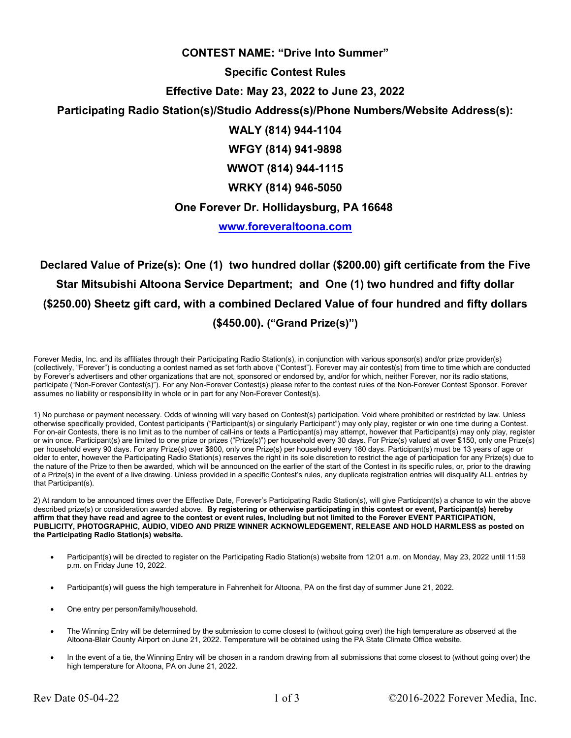### **CONTEST NAME: "Drive Into Summer"**

#### **Specific Contest Rules**

# **Effective Date: May 23, 2022 to June 23, 2022**

# **Participating Radio Station(s)/Studio Address(s)/Phone Numbers/Website Address(s):**

**WALY (814) 944-1104** 

**WFGY (814) 941-9898** 

**WWOT (814) 944-1115** 

**WRKY (814) 946-5050** 

### **One Forever Dr. Hollidaysburg, PA 16648**

**www.foreveraltoona.com**

**Declared Value of Prize(s): One (1) two hundred dollar (\$200.00) gift certificate from the Five Star Mitsubishi Altoona Service Department; and One (1) two hundred and fifty dollar (\$250.00) Sheetz gift card, with a combined Declared Value of four hundred and fifty dollars (\$450.00). ("Grand Prize(s)")**

Forever Media, Inc. and its affiliates through their Participating Radio Station(s), in conjunction with various sponsor(s) and/or prize provider(s) (collectively, "Forever") is conducting a contest named as set forth above ("Contest"). Forever may air contest(s) from time to time which are conducted by Forever's advertisers and other organizations that are not, sponsored or endorsed by, and/or for which, neither Forever, nor its radio stations, participate ("Non-Forever Contest(s)"). For any Non-Forever Contest(s) please refer to the contest rules of the Non-Forever Contest Sponsor. Forever assumes no liability or responsibility in whole or in part for any Non-Forever Contest(s).

1) No purchase or payment necessary. Odds of winning will vary based on Contest(s) participation. Void where prohibited or restricted by law. Unless otherwise specifically provided, Contest participants ("Participant(s) or singularly Participant") may only play, register or win one time during a Contest. For on-air Contests, there is no limit as to the number of call-ins or texts a Participant(s) may attempt, however that Participant(s) may only play, register or win once. Participant(s) are limited to one prize or prizes ("Prize(s)") per household every 30 days. For Prize(s) valued at over \$150, only one Prize(s) per household every 90 days. For any Prize(s) over \$600, only one Prize(s) per household every 180 days. Participant(s) must be 13 years of age or older to enter, however the Participating Radio Station(s) reserves the right in its sole discretion to restrict the age of participation for any Prize(s) due to the nature of the Prize to then be awarded, which will be announced on the earlier of the start of the Contest in its specific rules, or, prior to the drawing of a Prize(s) in the event of a live drawing. Unless provided in a specific Contest's rules, any duplicate registration entries will disqualify ALL entries by that Participant(s).

2) At random to be announced times over the Effective Date, Forever's Participating Radio Station(s), will give Participant(s) a chance to win the above described prize(s) or consideration awarded above. **By registering or otherwise participating in this contest or event, Participant(s) hereby affirm that they have read and agree to the contest or event rules, Including but not limited to the Forever EVENT PARTICIPATION, PUBLICITY, PHOTOGRAPHIC, AUDIO, VIDEO AND PRIZE WINNER ACKNOWLEDGEMENT, RELEASE AND HOLD HARMLESS as posted on the Participating Radio Station(s) website.** 

- Participant(s) will be directed to register on the Participating Radio Station(s) website from 12:01 a.m. on Monday, May 23, 2022 until 11:59 p.m. on Friday June 10, 2022.
- Participant(s) will guess the high temperature in Fahrenheit for Altoona, PA on the first day of summer June 21, 2022.
- One entry per person/family/household.
- The Winning Entry will be determined by the submission to come closest to (without going over) the high temperature as observed at the Altoona-Blair County Airport on June 21, 2022. Temperature will be obtained using the PA State Climate Office website.
- In the event of a tie, the Winning Entry will be chosen in a random drawing from all submissions that come closest to (without going over) the high temperature for Altoona, PA on June 21, 2022.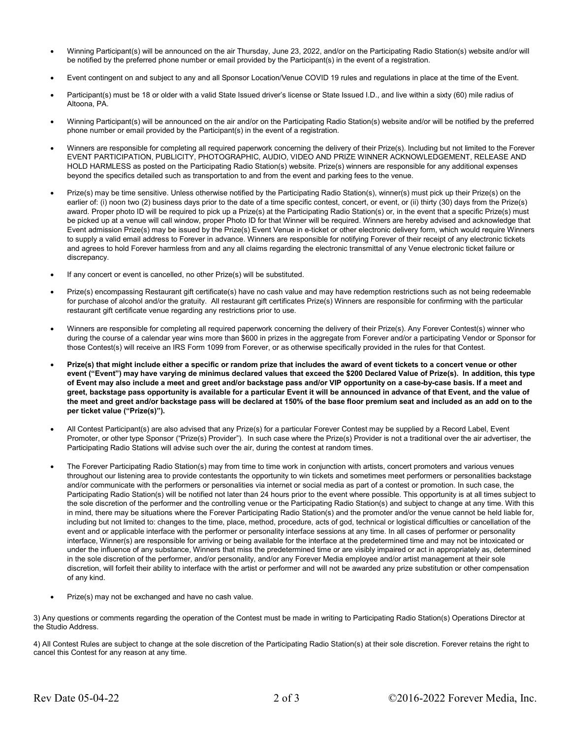- Winning Participant(s) will be announced on the air Thursday, June 23, 2022, and/or on the Participating Radio Station(s) website and/or will be notified by the preferred phone number or email provided by the Participant(s) in the event of a registration.
- Event contingent on and subject to any and all Sponsor Location/Venue COVID 19 rules and regulations in place at the time of the Event.
- Participant(s) must be 18 or older with a valid State Issued driver's license or State Issued I.D., and live within a sixty (60) mile radius of Altoona, PA.
- Winning Participant(s) will be announced on the air and/or on the Participating Radio Station(s) website and/or will be notified by the preferred phone number or email provided by the Participant(s) in the event of a registration.
- Winners are responsible for completing all required paperwork concerning the delivery of their Prize(s). Including but not limited to the Forever EVENT PARTICIPATION, PUBLICITY, PHOTOGRAPHIC, AUDIO, VIDEO AND PRIZE WINNER ACKNOWLEDGEMENT, RELEASE AND HOLD HARMLESS as posted on the Participating Radio Station(s) website. Prize(s) winners are responsible for any additional expenses beyond the specifics detailed such as transportation to and from the event and parking fees to the venue.
- Prize(s) may be time sensitive. Unless otherwise notified by the Participating Radio Station(s), winner(s) must pick up their Prize(s) on the earlier of: (i) noon two (2) business days prior to the date of a time specific contest, concert, or event, or (ii) thirty (30) days from the Prize(s) award. Proper photo ID will be required to pick up a Prize(s) at the Participating Radio Station(s) or, in the event that a specific Prize(s) must be picked up at a venue will call window, proper Photo ID for that Winner will be required. Winners are hereby advised and acknowledge that Event admission Prize(s) may be issued by the Prize(s) Event Venue in e-ticket or other electronic delivery form, which would require Winners to supply a valid email address to Forever in advance. Winners are responsible for notifying Forever of their receipt of any electronic tickets and agrees to hold Forever harmless from and any all claims regarding the electronic transmittal of any Venue electronic ticket failure or discrepancy.
- If any concert or event is cancelled, no other Prize(s) will be substituted.
- Prize(s) encompassing Restaurant gift certificate(s) have no cash value and may have redemption restrictions such as not being redeemable for purchase of alcohol and/or the gratuity. All restaurant gift certificates Prize(s) Winners are responsible for confirming with the particular restaurant gift certificate venue regarding any restrictions prior to use.
- Winners are responsible for completing all required paperwork concerning the delivery of their Prize(s). Any Forever Contest(s) winner who during the course of a calendar year wins more than \$600 in prizes in the aggregate from Forever and/or a participating Vendor or Sponsor for those Contest(s) will receive an IRS Form 1099 from Forever, or as otherwise specifically provided in the rules for that Contest.
- **Prize(s) that might include either a specific or random prize that includes the award of event tickets to a concert venue or other event ("Event") may have varying de minimus declared values that exceed the \$200 Declared Value of Prize(s). In addition, this type of Event may also include a meet and greet and/or backstage pass and/or VIP opportunity on a case-by-case basis. If a meet and greet, backstage pass opportunity is available for a particular Event it will be announced in advance of that Event, and the value of the meet and greet and/or backstage pass will be declared at 150% of the base floor premium seat and included as an add on to the per ticket value ("Prize(s)").**
- All Contest Participant(s) are also advised that any Prize(s) for a particular Forever Contest may be supplied by a Record Label, Event Promoter, or other type Sponsor ("Prize(s) Provider"). In such case where the Prize(s) Provider is not a traditional over the air advertiser, the Participating Radio Stations will advise such over the air, during the contest at random times.
- The Forever Participating Radio Station(s) may from time to time work in conjunction with artists, concert promoters and various venues throughout our listening area to provide contestants the opportunity to win tickets and sometimes meet performers or personalities backstage and/or communicate with the performers or personalities via internet or social media as part of a contest or promotion. In such case, the Participating Radio Station(s) will be notified not later than 24 hours prior to the event where possible. This opportunity is at all times subject to the sole discretion of the performer and the controlling venue or the Participating Radio Station(s) and subject to change at any time. With this in mind, there may be situations where the Forever Participating Radio Station(s) and the promoter and/or the venue cannot be held liable for, including but not limited to: changes to the time, place, method, procedure, acts of god, technical or logistical difficulties or cancellation of the event and or applicable interface with the performer or personality interface sessions at any time. In all cases of performer or personality interface, Winner(s) are responsible for arriving or being available for the interface at the predetermined time and may not be intoxicated or under the influence of any substance, Winners that miss the predetermined time or are visibly impaired or act in appropriately as, determined in the sole discretion of the performer, and/or personality, and/or any Forever Media employee and/or artist management at their sole discretion, will forfeit their ability to interface with the artist or performer and will not be awarded any prize substitution or other compensation of any kind.
- Prize(s) may not be exchanged and have no cash value.

3) Any questions or comments regarding the operation of the Contest must be made in writing to Participating Radio Station(s) Operations Director at the Studio Address.

4) All Contest Rules are subject to change at the sole discretion of the Participating Radio Station(s) at their sole discretion. Forever retains the right to cancel this Contest for any reason at any time.